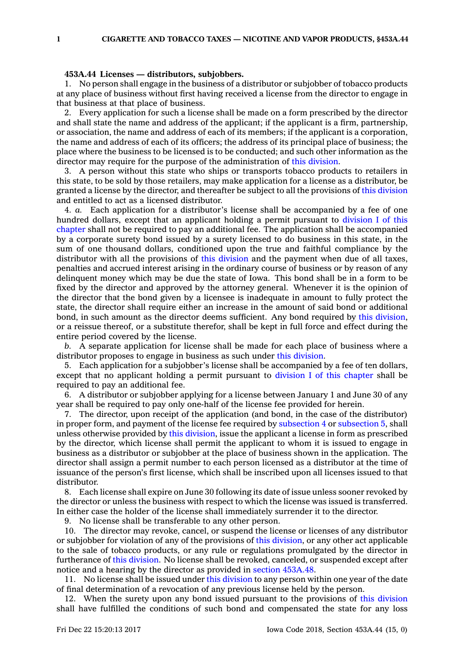## **453A.44 Licenses — distributors, subjobbers.**

1. No person shall engage in the business of <sup>a</sup> distributor or subjobber of tobacco products at any place of business without first having received <sup>a</sup> license from the director to engage in that business at that place of business.

2. Every application for such <sup>a</sup> license shall be made on <sup>a</sup> form prescribed by the director and shall state the name and address of the applicant; if the applicant is <sup>a</sup> firm, partnership, or association, the name and address of each of its members; if the applicant is <sup>a</sup> corporation, the name and address of each of its officers; the address of its principal place of business; the place where the business to be licensed is to be conducted; and such other information as the director may require for the purpose of the administration of this [division](https://www.legis.iowa.gov/docs/code//453A.pdf).

3. A person without this state who ships or transports tobacco products to retailers in this state, to be sold by those retailers, may make application for <sup>a</sup> license as <sup>a</sup> distributor, be granted <sup>a</sup> license by the director, and thereafter be subject to all the provisions of this [division](https://www.legis.iowa.gov/docs/code//453A.pdf) and entitled to act as <sup>a</sup> licensed distributor.

4. *a.* Each application for <sup>a</sup> distributor's license shall be accompanied by <sup>a</sup> fee of one hundred dollars, except that an applicant holding <sup>a</sup> permit pursuant to [division](https://www.legis.iowa.gov/docs/code//453A.pdf) I of this [chapter](https://www.legis.iowa.gov/docs/code//453A.pdf) shall not be required to pay an additional fee. The application shall be accompanied by <sup>a</sup> corporate surety bond issued by <sup>a</sup> surety licensed to do business in this state, in the sum of one thousand dollars, conditioned upon the true and faithful compliance by the distributor with all the provisions of this [division](https://www.legis.iowa.gov/docs/code//453A.pdf) and the payment when due of all taxes, penalties and accrued interest arising in the ordinary course of business or by reason of any delinquent money which may be due the state of Iowa. This bond shall be in <sup>a</sup> form to be fixed by the director and approved by the attorney general. Whenever it is the opinion of the director that the bond given by <sup>a</sup> licensee is inadequate in amount to fully protect the state, the director shall require either an increase in the amount of said bond or additional bond, in such amount as the director deems sufficient. Any bond required by this [division](https://www.legis.iowa.gov/docs/code//453A.pdf), or <sup>a</sup> reissue thereof, or <sup>a</sup> substitute therefor, shall be kept in full force and effect during the entire period covered by the license.

*b.* A separate application for license shall be made for each place of business where <sup>a</sup> distributor proposes to engage in business as such under this [division](https://www.legis.iowa.gov/docs/code//453A.pdf).

5. Each application for <sup>a</sup> subjobber's license shall be accompanied by <sup>a</sup> fee of ten dollars, except that no applicant holding <sup>a</sup> permit pursuant to division I of this [chapter](https://www.legis.iowa.gov/docs/code//453A.pdf) shall be required to pay an additional fee.

6. A distributor or subjobber applying for <sup>a</sup> license between January 1 and June 30 of any year shall be required to pay only one-half of the license fee provided for herein.

7. The director, upon receipt of the application (and bond, in the case of the distributor) in proper form, and payment of the license fee required by [subsection](https://www.legis.iowa.gov/docs/code/453A.44.pdf) 4 or [subsection](https://www.legis.iowa.gov/docs/code/453A.44.pdf) 5, shall unless otherwise provided by this [division](https://www.legis.iowa.gov/docs/code//453A.pdf), issue the applicant <sup>a</sup> license in form as prescribed by the director, which license shall permit the applicant to whom it is issued to engage in business as <sup>a</sup> distributor or subjobber at the place of business shown in the application. The director shall assign <sup>a</sup> permit number to each person licensed as <sup>a</sup> distributor at the time of issuance of the person's first license, which shall be inscribed upon all licenses issued to that distributor.

8. Each license shall expire on June 30 following its date of issue unless sooner revoked by the director or unless the business with respect to which the license was issued is transferred. In either case the holder of the license shall immediately surrender it to the director.

9. No license shall be transferable to any other person.

10. The director may revoke, cancel, or suspend the license or licenses of any distributor or subjobber for violation of any of the provisions of this [division](https://www.legis.iowa.gov/docs/code//453A.pdf), or any other act applicable to the sale of tobacco products, or any rule or regulations promulgated by the director in furtherance of this [division](https://www.legis.iowa.gov/docs/code//453A.pdf). No license shall be revoked, canceled, or suspended except after notice and <sup>a</sup> hearing by the director as provided in section [453A.48](https://www.legis.iowa.gov/docs/code/453A.48.pdf).

11. No license shall be issued under this [division](https://www.legis.iowa.gov/docs/code//453A.pdf) to any person within one year of the date of final determination of <sup>a</sup> revocation of any previous license held by the person.

12. When the surety upon any bond issued pursuant to the provisions of this [division](https://www.legis.iowa.gov/docs/code//453A.pdf) shall have fulfilled the conditions of such bond and compensated the state for any loss